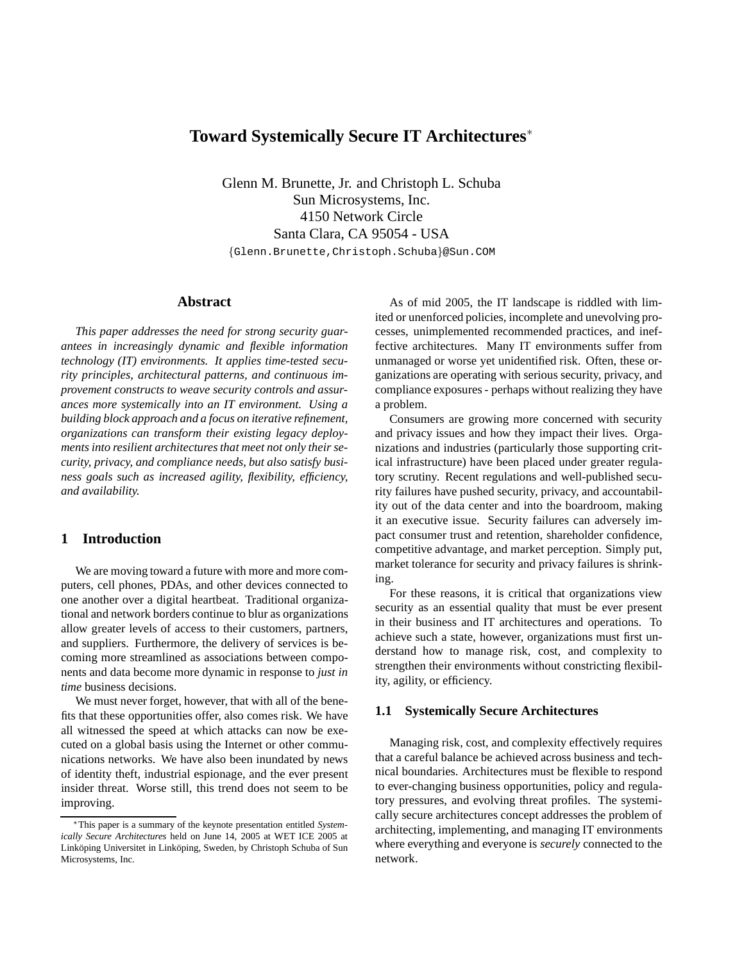# **Toward Systemically Secure IT Architectures**<sup>∗</sup>

Glenn M. Brunette, Jr. and Christoph L. Schuba Sun Microsystems, Inc. 4150 Network Circle Santa Clara, CA 95054 - USA

{Glenn.Brunette,Christoph.Schuba}@Sun.COM

# **Abstract**

*This paper addresses the need for strong security guarantees in increasingly dynamic and flexible information technology (IT) environments. It applies time-tested security principles, architectural patterns, and continuous improvement constructs to weave security controls and assurances more systemically into an IT environment. Using a building block approach and a focus on iterative refinement, organizations can transform their existing legacy deployments into resilient architectures that meet not only their security, privacy, and compliance needs, but also satisfy business goals such as increased agility, flexibility, efficiency, and availability.*

# **1 Introduction**

We are moving toward a future with more and more computers, cell phones, PDAs, and other devices connected to one another over a digital heartbeat. Traditional organizational and network borders continue to blur as organizations allow greater levels of access to their customers, partners, and suppliers. Furthermore, the delivery of services is becoming more streamlined as associations between components and data become more dynamic in response to *just in time* business decisions.

We must never forget, however, that with all of the benefits that these opportunities offer, also comes risk. We have all witnessed the speed at which attacks can now be executed on a global basis using the Internet or other communications networks. We have also been inundated by news of identity theft, industrial espionage, and the ever present insider threat. Worse still, this trend does not seem to be improving.

As of mid 2005, the IT landscape is riddled with limited or unenforced policies, incomplete and unevolving processes, unimplemented recommended practices, and ineffective architectures. Many IT environments suffer from unmanaged or worse yet unidentified risk. Often, these organizations are operating with serious security, privacy, and compliance exposures - perhaps without realizing they have a problem.

Consumers are growing more concerned with security and privacy issues and how they impact their lives. Organizations and industries (particularly those supporting critical infrastructure) have been placed under greater regulatory scrutiny. Recent regulations and well-published security failures have pushed security, privacy, and accountability out of the data center and into the boardroom, making it an executive issue. Security failures can adversely impact consumer trust and retention, shareholder confidence, competitive advantage, and market perception. Simply put, market tolerance for security and privacy failures is shrinking.

For these reasons, it is critical that organizations view security as an essential quality that must be ever present in their business and IT architectures and operations. To achieve such a state, however, organizations must first understand how to manage risk, cost, and complexity to strengthen their environments without constricting flexibility, agility, or efficiency.

#### **1.1 Systemically Secure Architectures**

Managing risk, cost, and complexity effectively requires that a careful balance be achieved across business and technical boundaries. Architectures must be flexible to respond to ever-changing business opportunities, policy and regulatory pressures, and evolving threat profiles. The systemically secure architectures concept addresses the problem of architecting, implementing, and managing IT environments where everything and everyone is *securely* connected to the network.

<sup>∗</sup>This paper is a summary of the keynote presentation entitled *Systemically Secure Architectures* held on June 14, 2005 at WET ICE 2005 at Linköping Universitet in Linköping, Sweden, by Christoph Schuba of Sun Microsystems, Inc.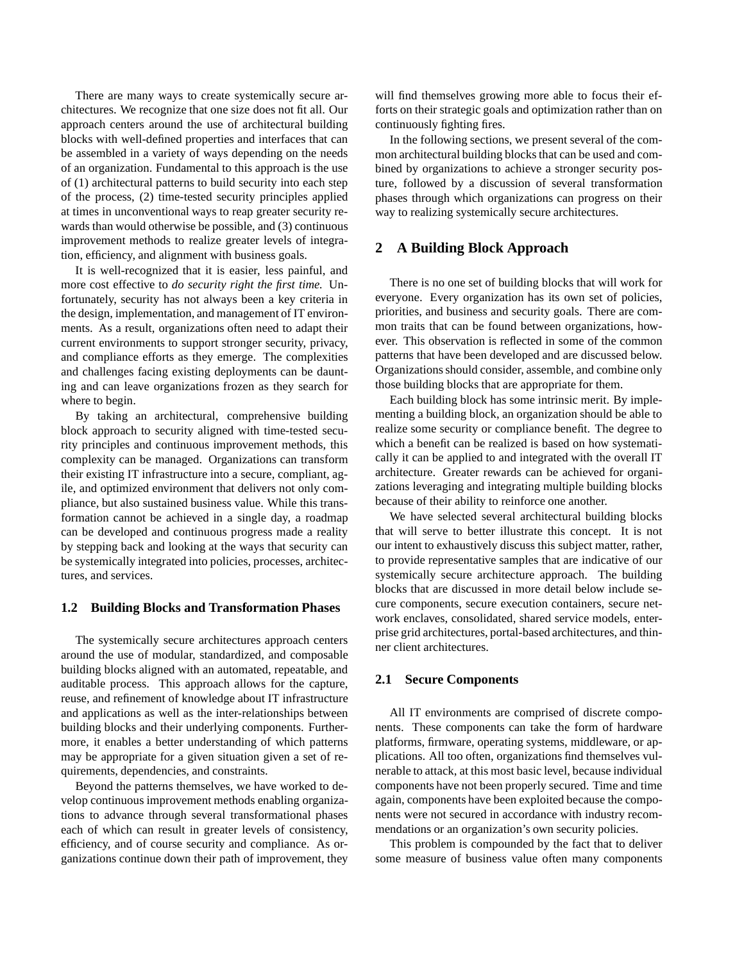There are many ways to create systemically secure architectures. We recognize that one size does not fit all. Our approach centers around the use of architectural building blocks with well-defined properties and interfaces that can be assembled in a variety of ways depending on the needs of an organization. Fundamental to this approach is the use of (1) architectural patterns to build security into each step of the process, (2) time-tested security principles applied at times in unconventional ways to reap greater security rewards than would otherwise be possible, and (3) continuous improvement methods to realize greater levels of integration, efficiency, and alignment with business goals.

It is well-recognized that it is easier, less painful, and more cost effective to *do security right the first time.* Unfortunately, security has not always been a key criteria in the design, implementation, and management of IT environments. As a result, organizations often need to adapt their current environments to support stronger security, privacy, and compliance efforts as they emerge. The complexities and challenges facing existing deployments can be daunting and can leave organizations frozen as they search for where to begin.

By taking an architectural, comprehensive building block approach to security aligned with time-tested security principles and continuous improvement methods, this complexity can be managed. Organizations can transform their existing IT infrastructure into a secure, compliant, agile, and optimized environment that delivers not only compliance, but also sustained business value. While this transformation cannot be achieved in a single day, a roadmap can be developed and continuous progress made a reality by stepping back and looking at the ways that security can be systemically integrated into policies, processes, architectures, and services.

#### **1.2 Building Blocks and Transformation Phases**

The systemically secure architectures approach centers around the use of modular, standardized, and composable building blocks aligned with an automated, repeatable, and auditable process. This approach allows for the capture, reuse, and refinement of knowledge about IT infrastructure and applications as well as the inter-relationships between building blocks and their underlying components. Furthermore, it enables a better understanding of which patterns may be appropriate for a given situation given a set of requirements, dependencies, and constraints.

Beyond the patterns themselves, we have worked to develop continuous improvement methods enabling organizations to advance through several transformational phases each of which can result in greater levels of consistency, efficiency, and of course security and compliance. As organizations continue down their path of improvement, they will find themselves growing more able to focus their efforts on their strategic goals and optimization rather than on continuously fighting fires.

In the following sections, we present several of the common architectural building blocks that can be used and combined by organizations to achieve a stronger security posture, followed by a discussion of several transformation phases through which organizations can progress on their way to realizing systemically secure architectures.

## **2 A Building Block Approach**

There is no one set of building blocks that will work for everyone. Every organization has its own set of policies, priorities, and business and security goals. There are common traits that can be found between organizations, however. This observation is reflected in some of the common patterns that have been developed and are discussed below. Organizations should consider, assemble, and combine only those building blocks that are appropriate for them.

Each building block has some intrinsic merit. By implementing a building block, an organization should be able to realize some security or compliance benefit. The degree to which a benefit can be realized is based on how systematically it can be applied to and integrated with the overall IT architecture. Greater rewards can be achieved for organizations leveraging and integrating multiple building blocks because of their ability to reinforce one another.

We have selected several architectural building blocks that will serve to better illustrate this concept. It is not our intent to exhaustively discuss this subject matter, rather, to provide representative samples that are indicative of our systemically secure architecture approach. The building blocks that are discussed in more detail below include secure components, secure execution containers, secure network enclaves, consolidated, shared service models, enterprise grid architectures, portal-based architectures, and thinner client architectures.

#### **2.1 Secure Components**

All IT environments are comprised of discrete components. These components can take the form of hardware platforms, firmware, operating systems, middleware, or applications. All too often, organizations find themselves vulnerable to attack, at this most basic level, because individual components have not been properly secured. Time and time again, components have been exploited because the components were not secured in accordance with industry recommendations or an organization's own security policies.

This problem is compounded by the fact that to deliver some measure of business value often many components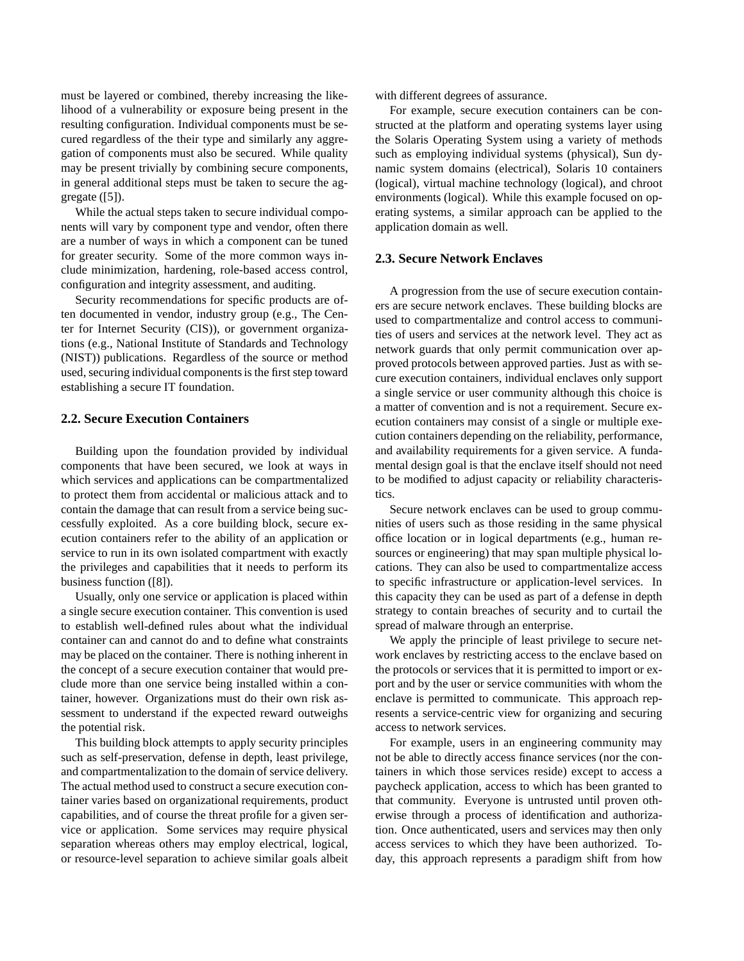must be layered or combined, thereby increasing the likelihood of a vulnerability or exposure being present in the resulting configuration. Individual components must be secured regardless of the their type and similarly any aggregation of components must also be secured. While quality may be present trivially by combining secure components, in general additional steps must be taken to secure the aggregate ([5]).

While the actual steps taken to secure individual components will vary by component type and vendor, often there are a number of ways in which a component can be tuned for greater security. Some of the more common ways include minimization, hardening, role-based access control, configuration and integrity assessment, and auditing.

Security recommendations for specific products are often documented in vendor, industry group (e.g., The Center for Internet Security (CIS)), or government organizations (e.g., National Institute of Standards and Technology (NIST)) publications. Regardless of the source or method used, securing individual components is the first step toward establishing a secure IT foundation.

## **2.2. Secure Execution Containers**

Building upon the foundation provided by individual components that have been secured, we look at ways in which services and applications can be compartmentalized to protect them from accidental or malicious attack and to contain the damage that can result from a service being successfully exploited. As a core building block, secure execution containers refer to the ability of an application or service to run in its own isolated compartment with exactly the privileges and capabilities that it needs to perform its business function ([8]).

Usually, only one service or application is placed within a single secure execution container. This convention is used to establish well-defined rules about what the individual container can and cannot do and to define what constraints may be placed on the container. There is nothing inherent in the concept of a secure execution container that would preclude more than one service being installed within a container, however. Organizations must do their own risk assessment to understand if the expected reward outweighs the potential risk.

This building block attempts to apply security principles such as self-preservation, defense in depth, least privilege, and compartmentalization to the domain of service delivery. The actual method used to construct a secure execution container varies based on organizational requirements, product capabilities, and of course the threat profile for a given service or application. Some services may require physical separation whereas others may employ electrical, logical, or resource-level separation to achieve similar goals albeit with different degrees of assurance.

For example, secure execution containers can be constructed at the platform and operating systems layer using the Solaris Operating System using a variety of methods such as employing individual systems (physical), Sun dynamic system domains (electrical), Solaris 10 containers (logical), virtual machine technology (logical), and chroot environments (logical). While this example focused on operating systems, a similar approach can be applied to the application domain as well.

#### **2.3. Secure Network Enclaves**

A progression from the use of secure execution containers are secure network enclaves. These building blocks are used to compartmentalize and control access to communities of users and services at the network level. They act as network guards that only permit communication over approved protocols between approved parties. Just as with secure execution containers, individual enclaves only support a single service or user community although this choice is a matter of convention and is not a requirement. Secure execution containers may consist of a single or multiple execution containers depending on the reliability, performance, and availability requirements for a given service. A fundamental design goal is that the enclave itself should not need to be modified to adjust capacity or reliability characteristics.

Secure network enclaves can be used to group communities of users such as those residing in the same physical office location or in logical departments (e.g., human resources or engineering) that may span multiple physical locations. They can also be used to compartmentalize access to specific infrastructure or application-level services. In this capacity they can be used as part of a defense in depth strategy to contain breaches of security and to curtail the spread of malware through an enterprise.

We apply the principle of least privilege to secure network enclaves by restricting access to the enclave based on the protocols or services that it is permitted to import or export and by the user or service communities with whom the enclave is permitted to communicate. This approach represents a service-centric view for organizing and securing access to network services.

For example, users in an engineering community may not be able to directly access finance services (nor the containers in which those services reside) except to access a paycheck application, access to which has been granted to that community. Everyone is untrusted until proven otherwise through a process of identification and authorization. Once authenticated, users and services may then only access services to which they have been authorized. Today, this approach represents a paradigm shift from how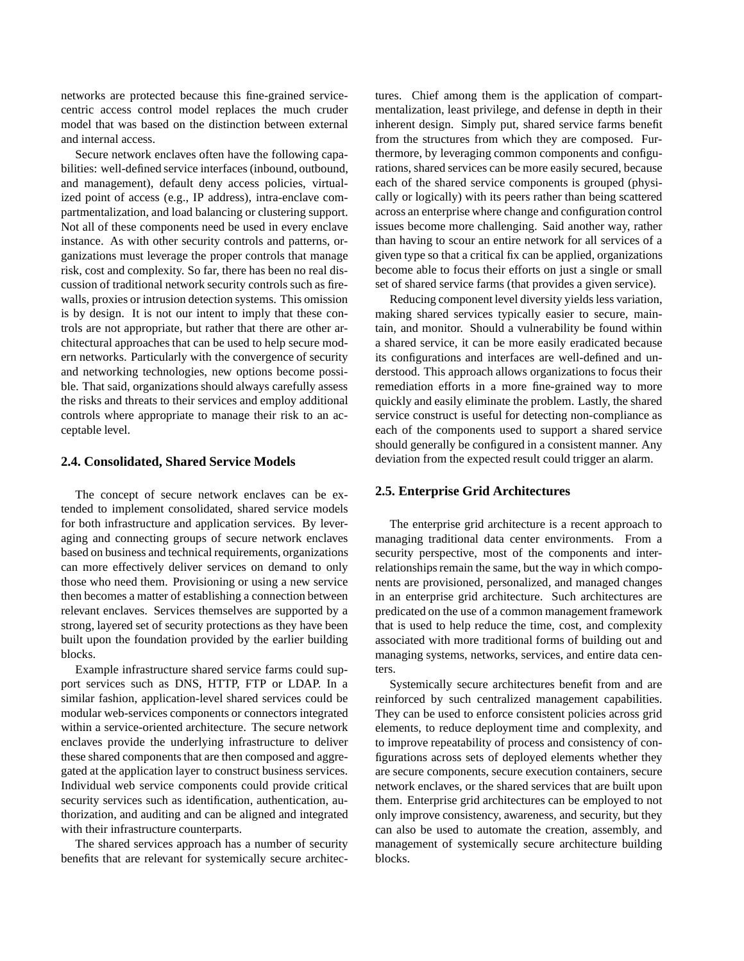networks are protected because this fine-grained servicecentric access control model replaces the much cruder model that was based on the distinction between external and internal access.

Secure network enclaves often have the following capabilities: well-defined service interfaces (inbound, outbound, and management), default deny access policies, virtualized point of access (e.g., IP address), intra-enclave compartmentalization, and load balancing or clustering support. Not all of these components need be used in every enclave instance. As with other security controls and patterns, organizations must leverage the proper controls that manage risk, cost and complexity. So far, there has been no real discussion of traditional network security controls such as firewalls, proxies or intrusion detection systems. This omission is by design. It is not our intent to imply that these controls are not appropriate, but rather that there are other architectural approaches that can be used to help secure modern networks. Particularly with the convergence of security and networking technologies, new options become possible. That said, organizations should always carefully assess the risks and threats to their services and employ additional controls where appropriate to manage their risk to an acceptable level.

# **2.4. Consolidated, Shared Service Models**

The concept of secure network enclaves can be extended to implement consolidated, shared service models for both infrastructure and application services. By leveraging and connecting groups of secure network enclaves based on business and technical requirements, organizations can more effectively deliver services on demand to only those who need them. Provisioning or using a new service then becomes a matter of establishing a connection between relevant enclaves. Services themselves are supported by a strong, layered set of security protections as they have been built upon the foundation provided by the earlier building blocks.

Example infrastructure shared service farms could support services such as DNS, HTTP, FTP or LDAP. In a similar fashion, application-level shared services could be modular web-services components or connectors integrated within a service-oriented architecture. The secure network enclaves provide the underlying infrastructure to deliver these shared components that are then composed and aggregated at the application layer to construct business services. Individual web service components could provide critical security services such as identification, authentication, authorization, and auditing and can be aligned and integrated with their infrastructure counterparts.

The shared services approach has a number of security benefits that are relevant for systemically secure architectures. Chief among them is the application of compartmentalization, least privilege, and defense in depth in their inherent design. Simply put, shared service farms benefit from the structures from which they are composed. Furthermore, by leveraging common components and configurations, shared services can be more easily secured, because each of the shared service components is grouped (physically or logically) with its peers rather than being scattered across an enterprise where change and configuration control issues become more challenging. Said another way, rather than having to scour an entire network for all services of a given type so that a critical fix can be applied, organizations become able to focus their efforts on just a single or small set of shared service farms (that provides a given service).

Reducing component level diversity yields less variation, making shared services typically easier to secure, maintain, and monitor. Should a vulnerability be found within a shared service, it can be more easily eradicated because its configurations and interfaces are well-defined and understood. This approach allows organizations to focus their remediation efforts in a more fine-grained way to more quickly and easily eliminate the problem. Lastly, the shared service construct is useful for detecting non-compliance as each of the components used to support a shared service should generally be configured in a consistent manner. Any deviation from the expected result could trigger an alarm.

#### **2.5. Enterprise Grid Architectures**

The enterprise grid architecture is a recent approach to managing traditional data center environments. From a security perspective, most of the components and interrelationships remain the same, but the way in which components are provisioned, personalized, and managed changes in an enterprise grid architecture. Such architectures are predicated on the use of a common management framework that is used to help reduce the time, cost, and complexity associated with more traditional forms of building out and managing systems, networks, services, and entire data centers.

Systemically secure architectures benefit from and are reinforced by such centralized management capabilities. They can be used to enforce consistent policies across grid elements, to reduce deployment time and complexity, and to improve repeatability of process and consistency of configurations across sets of deployed elements whether they are secure components, secure execution containers, secure network enclaves, or the shared services that are built upon them. Enterprise grid architectures can be employed to not only improve consistency, awareness, and security, but they can also be used to automate the creation, assembly, and management of systemically secure architecture building blocks.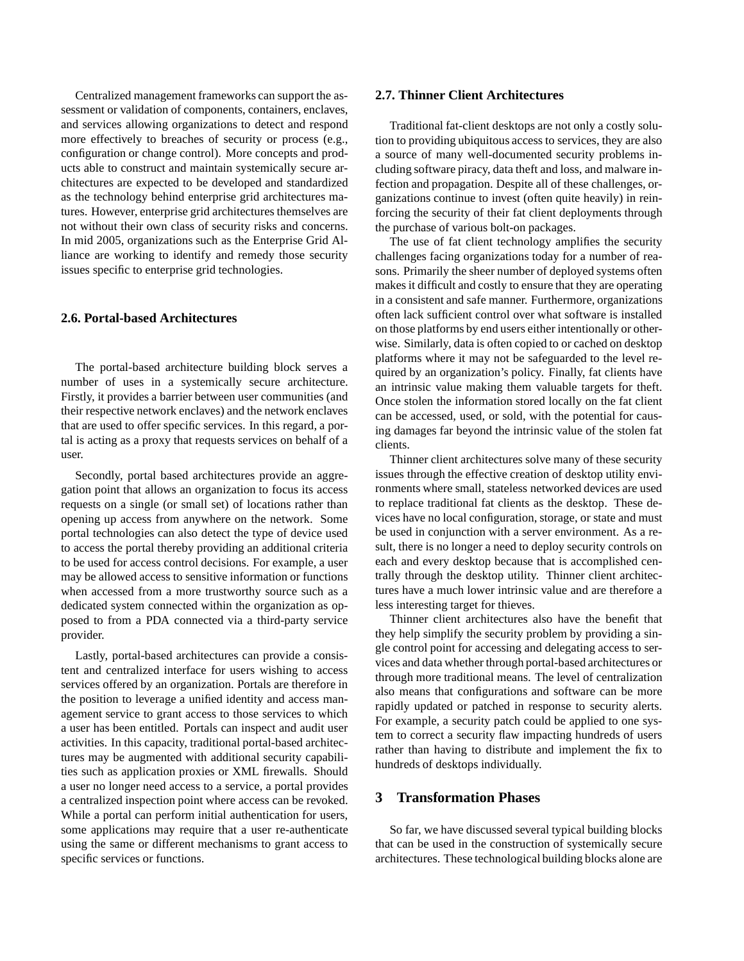Centralized management frameworks can support the assessment or validation of components, containers, enclaves, and services allowing organizations to detect and respond more effectively to breaches of security or process (e.g., configuration or change control). More concepts and products able to construct and maintain systemically secure architectures are expected to be developed and standardized as the technology behind enterprise grid architectures matures. However, enterprise grid architectures themselves are not without their own class of security risks and concerns. In mid 2005, organizations such as the Enterprise Grid Alliance are working to identify and remedy those security issues specific to enterprise grid technologies.

## **2.6. Portal-based Architectures**

The portal-based architecture building block serves a number of uses in a systemically secure architecture. Firstly, it provides a barrier between user communities (and their respective network enclaves) and the network enclaves that are used to offer specific services. In this regard, a portal is acting as a proxy that requests services on behalf of a user.

Secondly, portal based architectures provide an aggregation point that allows an organization to focus its access requests on a single (or small set) of locations rather than opening up access from anywhere on the network. Some portal technologies can also detect the type of device used to access the portal thereby providing an additional criteria to be used for access control decisions. For example, a user may be allowed access to sensitive information or functions when accessed from a more trustworthy source such as a dedicated system connected within the organization as opposed to from a PDA connected via a third-party service provider.

Lastly, portal-based architectures can provide a consistent and centralized interface for users wishing to access services offered by an organization. Portals are therefore in the position to leverage a unified identity and access management service to grant access to those services to which a user has been entitled. Portals can inspect and audit user activities. In this capacity, traditional portal-based architectures may be augmented with additional security capabilities such as application proxies or XML firewalls. Should a user no longer need access to a service, a portal provides a centralized inspection point where access can be revoked. While a portal can perform initial authentication for users, some applications may require that a user re-authenticate using the same or different mechanisms to grant access to specific services or functions.

## **2.7. Thinner Client Architectures**

Traditional fat-client desktops are not only a costly solution to providing ubiquitous access to services, they are also a source of many well-documented security problems including software piracy, data theft and loss, and malware infection and propagation. Despite all of these challenges, organizations continue to invest (often quite heavily) in reinforcing the security of their fat client deployments through the purchase of various bolt-on packages.

The use of fat client technology amplifies the security challenges facing organizations today for a number of reasons. Primarily the sheer number of deployed systems often makes it difficult and costly to ensure that they are operating in a consistent and safe manner. Furthermore, organizations often lack sufficient control over what software is installed on those platforms by end users either intentionally or otherwise. Similarly, data is often copied to or cached on desktop platforms where it may not be safeguarded to the level required by an organization's policy. Finally, fat clients have an intrinsic value making them valuable targets for theft. Once stolen the information stored locally on the fat client can be accessed, used, or sold, with the potential for causing damages far beyond the intrinsic value of the stolen fat clients.

Thinner client architectures solve many of these security issues through the effective creation of desktop utility environments where small, stateless networked devices are used to replace traditional fat clients as the desktop. These devices have no local configuration, storage, or state and must be used in conjunction with a server environment. As a result, there is no longer a need to deploy security controls on each and every desktop because that is accomplished centrally through the desktop utility. Thinner client architectures have a much lower intrinsic value and are therefore a less interesting target for thieves.

Thinner client architectures also have the benefit that they help simplify the security problem by providing a single control point for accessing and delegating access to services and data whether through portal-based architectures or through more traditional means. The level of centralization also means that configurations and software can be more rapidly updated or patched in response to security alerts. For example, a security patch could be applied to one system to correct a security flaw impacting hundreds of users rather than having to distribute and implement the fix to hundreds of desktops individually.

# **3 Transformation Phases**

So far, we have discussed several typical building blocks that can be used in the construction of systemically secure architectures. These technological building blocks alone are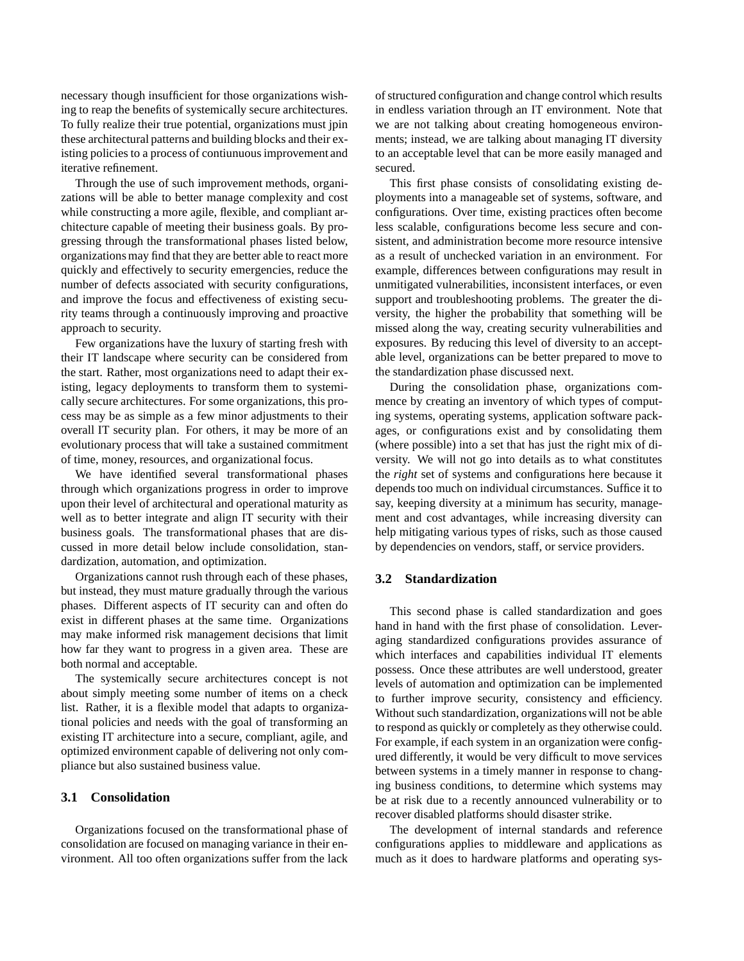necessary though insufficient for those organizations wishing to reap the benefits of systemically secure architectures. To fully realize their true potential, organizations must jpin these architectural patterns and building blocks and their existing policies to a process of contiunuous improvement and iterative refinement.

Through the use of such improvement methods, organizations will be able to better manage complexity and cost while constructing a more agile, flexible, and compliant architecture capable of meeting their business goals. By progressing through the transformational phases listed below, organizations may find that they are better able to react more quickly and effectively to security emergencies, reduce the number of defects associated with security configurations, and improve the focus and effectiveness of existing security teams through a continuously improving and proactive approach to security.

Few organizations have the luxury of starting fresh with their IT landscape where security can be considered from the start. Rather, most organizations need to adapt their existing, legacy deployments to transform them to systemically secure architectures. For some organizations, this process may be as simple as a few minor adjustments to their overall IT security plan. For others, it may be more of an evolutionary process that will take a sustained commitment of time, money, resources, and organizational focus.

We have identified several transformational phases through which organizations progress in order to improve upon their level of architectural and operational maturity as well as to better integrate and align IT security with their business goals. The transformational phases that are discussed in more detail below include consolidation, standardization, automation, and optimization.

Organizations cannot rush through each of these phases, but instead, they must mature gradually through the various phases. Different aspects of IT security can and often do exist in different phases at the same time. Organizations may make informed risk management decisions that limit how far they want to progress in a given area. These are both normal and acceptable.

The systemically secure architectures concept is not about simply meeting some number of items on a check list. Rather, it is a flexible model that adapts to organizational policies and needs with the goal of transforming an existing IT architecture into a secure, compliant, agile, and optimized environment capable of delivering not only compliance but also sustained business value.

#### **3.1 Consolidation**

Organizations focused on the transformational phase of consolidation are focused on managing variance in their environment. All too often organizations suffer from the lack

of structured configuration and change control which results in endless variation through an IT environment. Note that we are not talking about creating homogeneous environments; instead, we are talking about managing IT diversity to an acceptable level that can be more easily managed and secured.

This first phase consists of consolidating existing deployments into a manageable set of systems, software, and configurations. Over time, existing practices often become less scalable, configurations become less secure and consistent, and administration become more resource intensive as a result of unchecked variation in an environment. For example, differences between configurations may result in unmitigated vulnerabilities, inconsistent interfaces, or even support and troubleshooting problems. The greater the diversity, the higher the probability that something will be missed along the way, creating security vulnerabilities and exposures. By reducing this level of diversity to an acceptable level, organizations can be better prepared to move to the standardization phase discussed next.

During the consolidation phase, organizations commence by creating an inventory of which types of computing systems, operating systems, application software packages, or configurations exist and by consolidating them (where possible) into a set that has just the right mix of diversity. We will not go into details as to what constitutes the *right* set of systems and configurations here because it depends too much on individual circumstances. Suffice it to say, keeping diversity at a minimum has security, management and cost advantages, while increasing diversity can help mitigating various types of risks, such as those caused by dependencies on vendors, staff, or service providers.

## **3.2 Standardization**

This second phase is called standardization and goes hand in hand with the first phase of consolidation. Leveraging standardized configurations provides assurance of which interfaces and capabilities individual IT elements possess. Once these attributes are well understood, greater levels of automation and optimization can be implemented to further improve security, consistency and efficiency. Without such standardization, organizations will not be able to respond as quickly or completely as they otherwise could. For example, if each system in an organization were configured differently, it would be very difficult to move services between systems in a timely manner in response to changing business conditions, to determine which systems may be at risk due to a recently announced vulnerability or to recover disabled platforms should disaster strike.

The development of internal standards and reference configurations applies to middleware and applications as much as it does to hardware platforms and operating sys-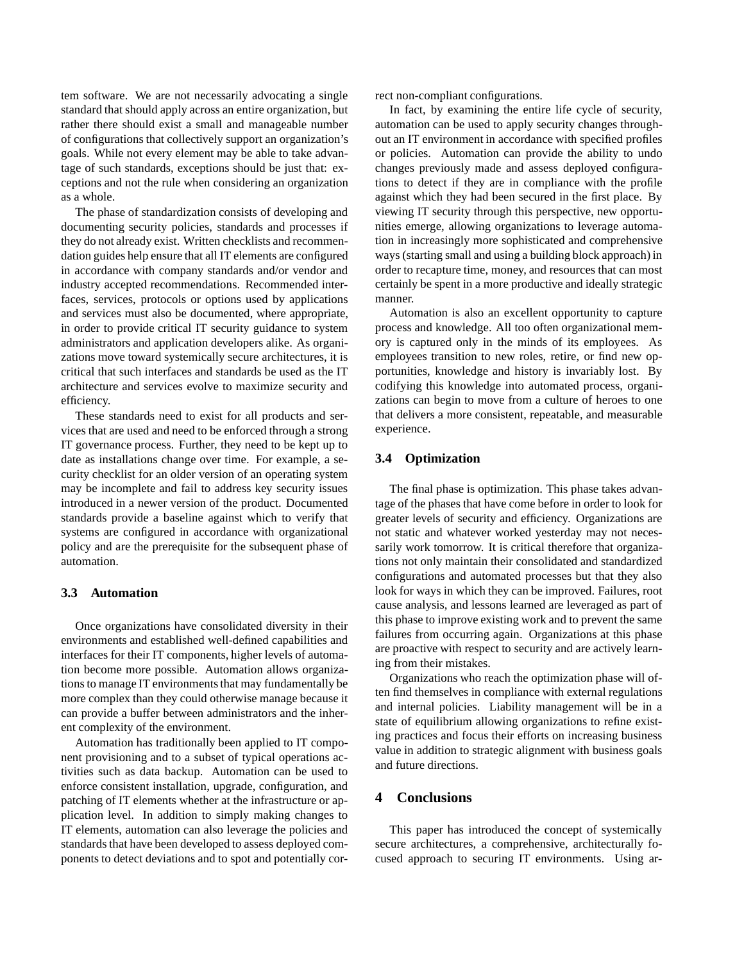tem software. We are not necessarily advocating a single standard that should apply across an entire organization, but rather there should exist a small and manageable number of configurations that collectively support an organization's goals. While not every element may be able to take advantage of such standards, exceptions should be just that: exceptions and not the rule when considering an organization as a whole.

The phase of standardization consists of developing and documenting security policies, standards and processes if they do not already exist. Written checklists and recommendation guides help ensure that all IT elements are configured in accordance with company standards and/or vendor and industry accepted recommendations. Recommended interfaces, services, protocols or options used by applications and services must also be documented, where appropriate, in order to provide critical IT security guidance to system administrators and application developers alike. As organizations move toward systemically secure architectures, it is critical that such interfaces and standards be used as the IT architecture and services evolve to maximize security and efficiency.

These standards need to exist for all products and services that are used and need to be enforced through a strong IT governance process. Further, they need to be kept up to date as installations change over time. For example, a security checklist for an older version of an operating system may be incomplete and fail to address key security issues introduced in a newer version of the product. Documented standards provide a baseline against which to verify that systems are configured in accordance with organizational policy and are the prerequisite for the subsequent phase of automation.

# **3.3 Automation**

Once organizations have consolidated diversity in their environments and established well-defined capabilities and interfaces for their IT components, higher levels of automation become more possible. Automation allows organizations to manage IT environments that may fundamentally be more complex than they could otherwise manage because it can provide a buffer between administrators and the inherent complexity of the environment.

Automation has traditionally been applied to IT component provisioning and to a subset of typical operations activities such as data backup. Automation can be used to enforce consistent installation, upgrade, configuration, and patching of IT elements whether at the infrastructure or application level. In addition to simply making changes to IT elements, automation can also leverage the policies and standards that have been developed to assess deployed components to detect deviations and to spot and potentially correct non-compliant configurations.

In fact, by examining the entire life cycle of security, automation can be used to apply security changes throughout an IT environment in accordance with specified profiles or policies. Automation can provide the ability to undo changes previously made and assess deployed configurations to detect if they are in compliance with the profile against which they had been secured in the first place. By viewing IT security through this perspective, new opportunities emerge, allowing organizations to leverage automation in increasingly more sophisticated and comprehensive ways (starting small and using a building block approach) in order to recapture time, money, and resources that can most certainly be spent in a more productive and ideally strategic manner.

Automation is also an excellent opportunity to capture process and knowledge. All too often organizational memory is captured only in the minds of its employees. As employees transition to new roles, retire, or find new opportunities, knowledge and history is invariably lost. By codifying this knowledge into automated process, organizations can begin to move from a culture of heroes to one that delivers a more consistent, repeatable, and measurable experience.

# **3.4 Optimization**

The final phase is optimization. This phase takes advantage of the phases that have come before in order to look for greater levels of security and efficiency. Organizations are not static and whatever worked yesterday may not necessarily work tomorrow. It is critical therefore that organizations not only maintain their consolidated and standardized configurations and automated processes but that they also look for ways in which they can be improved. Failures, root cause analysis, and lessons learned are leveraged as part of this phase to improve existing work and to prevent the same failures from occurring again. Organizations at this phase are proactive with respect to security and are actively learning from their mistakes.

Organizations who reach the optimization phase will often find themselves in compliance with external regulations and internal policies. Liability management will be in a state of equilibrium allowing organizations to refine existing practices and focus their efforts on increasing business value in addition to strategic alignment with business goals and future directions.

# **4 Conclusions**

This paper has introduced the concept of systemically secure architectures, a comprehensive, architecturally focused approach to securing IT environments. Using ar-